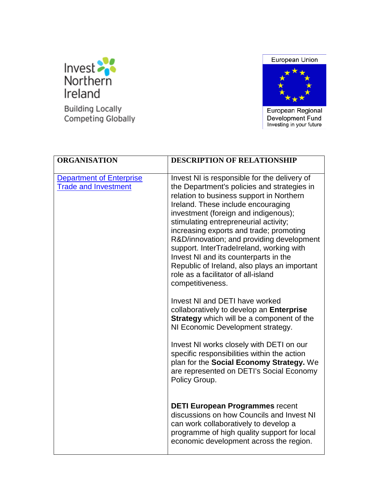

**Building Locally** Competing Globally





European Regional Development Fund<br>Investing in your future

| <b>ORGANISATION</b>                                            | <b>DESCRIPTION OF RELATIONSHIP</b>                                                                                                                                                                                                                                                                                                                                                                                                                                                                                                                                                                                                                                                                                                                                                                                                                                                                                                |
|----------------------------------------------------------------|-----------------------------------------------------------------------------------------------------------------------------------------------------------------------------------------------------------------------------------------------------------------------------------------------------------------------------------------------------------------------------------------------------------------------------------------------------------------------------------------------------------------------------------------------------------------------------------------------------------------------------------------------------------------------------------------------------------------------------------------------------------------------------------------------------------------------------------------------------------------------------------------------------------------------------------|
| <b>Department of Enterprise</b><br><b>Trade and Investment</b> | Invest NI is responsible for the delivery of<br>the Department's policies and strategies in<br>relation to business support in Northern<br>Ireland. These include encouraging<br>investment (foreign and indigenous);<br>stimulating entrepreneurial activity;<br>increasing exports and trade; promoting<br>R&D/innovation; and providing development<br>support. InterTradeIreland, working with<br>Invest NI and its counterparts in the<br>Republic of Ireland, also plays an important<br>role as a facilitator of all-island<br>competitiveness.<br>Invest NI and DETI have worked<br>collaboratively to develop an Enterprise<br><b>Strategy</b> which will be a component of the<br>NI Economic Development strategy.<br>Invest NI works closely with DETI on our<br>specific responsibilities within the action<br>plan for the Social Economy Strategy. We<br>are represented on DETI's Social Economy<br>Policy Group. |
|                                                                | <b>DETI European Programmes recent</b><br>discussions on how Councils and Invest NI<br>can work collaboratively to develop a<br>programme of high quality support for local<br>economic development across the region.                                                                                                                                                                                                                                                                                                                                                                                                                                                                                                                                                                                                                                                                                                            |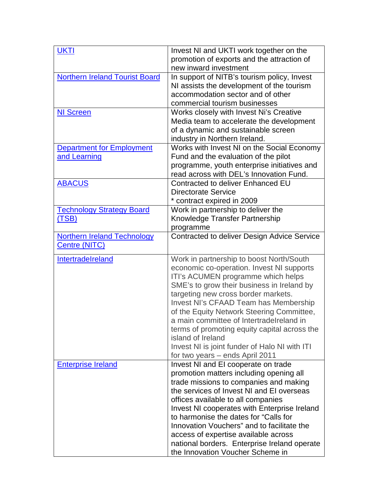| <b>UKTI</b>                           | Invest NI and UKTI work together on the       |
|---------------------------------------|-----------------------------------------------|
|                                       | promotion of exports and the attraction of    |
|                                       | new inward investment                         |
| <b>Northern Ireland Tourist Board</b> | In support of NITB's tourism policy, Invest   |
|                                       | NI assists the development of the tourism     |
|                                       |                                               |
|                                       | accommodation sector and of other             |
|                                       | commercial tourism businesses                 |
| <b>NI Screen</b>                      | Works closely with Invest Ni's Creative       |
|                                       | Media team to accelerate the development      |
|                                       | of a dynamic and sustainable screen           |
|                                       | industry in Northern Ireland.                 |
| <b>Department for Employment</b>      | Works with Invest NI on the Social Economy    |
| and Learning                          | Fund and the evaluation of the pilot          |
|                                       | programme, youth enterprise initiatives and   |
|                                       | read across with DEL's Innovation Fund.       |
| <b>ABACUS</b>                         | Contracted to deliver Enhanced EU             |
|                                       | <b>Directorate Service</b>                    |
|                                       | * contract expired in 2009                    |
| <b>Technology Strategy Board</b>      | Work in partnership to deliver the            |
| (TSB)                                 | Knowledge Transfer Partnership                |
|                                       | programme                                     |
| <b>Northern Ireland Technology</b>    | Contracted to deliver Design Advice Service   |
| Centre (NITC)                         |                                               |
|                                       |                                               |
| Intertradelreland                     | Work in partnership to boost North/South      |
|                                       | economic co-operation. Invest NI supports     |
|                                       | ITI's ACUMEN programme which helps            |
|                                       | SME's to grow their business in Ireland by    |
|                                       | targeting new cross border markets.           |
|                                       | Invest NI's CFAAD Team has Membership         |
|                                       | of the Equity Network Steering Committee,     |
|                                       | a main committee of Intertradelreland in      |
|                                       | terms of promoting equity capital across the  |
|                                       | island of Ireland                             |
|                                       | Invest NI is joint funder of Halo NI with ITI |
|                                       | for two years – ends April 2011               |
| <b>Enterprise Ireland</b>             | Invest NI and EI cooperate on trade           |
|                                       | promotion matters including opening all       |
|                                       | trade missions to companies and making        |
|                                       | the services of Invest NI and EI overseas     |
|                                       | offices available to all companies            |
|                                       | Invest NI cooperates with Enterprise Ireland  |
|                                       | to harmonise the dates for "Calls for         |
|                                       | Innovation Vouchers" and to facilitate the    |
|                                       | access of expertise available across          |
|                                       | national borders. Enterprise Ireland operate  |
|                                       | the Innovation Voucher Scheme in              |
|                                       |                                               |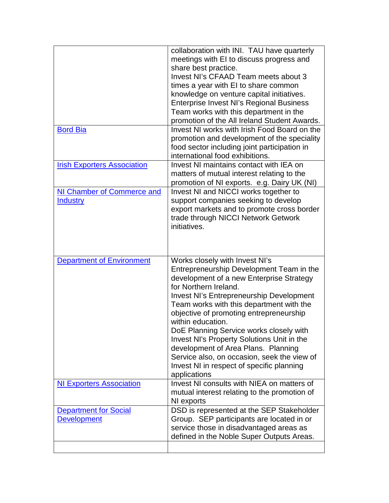|                                    | collaboration with INI. TAU have quarterly                                    |
|------------------------------------|-------------------------------------------------------------------------------|
|                                    | meetings with EI to discuss progress and                                      |
|                                    | share best practice.                                                          |
|                                    | Invest NI's CFAAD Team meets about 3                                          |
|                                    | times a year with EI to share common                                          |
|                                    | knowledge on venture capital initiatives.                                     |
|                                    | <b>Enterprise Invest NI's Regional Business</b>                               |
|                                    | Team works with this department in the                                        |
|                                    | promotion of the All Ireland Student Awards.                                  |
| <b>Bord Bia</b>                    | Invest NI works with Irish Food Board on the                                  |
|                                    | promotion and development of the speciality                                   |
|                                    | food sector including joint participation in                                  |
|                                    | international food exhibitions.                                               |
| <b>Irish Exporters Association</b> | Invest NI maintains contact with IEA on                                       |
|                                    |                                                                               |
|                                    | matters of mutual interest relating to the                                    |
|                                    | promotion of NI exports. e.g. Dairy UK (NI)                                   |
| NI Chamber of Commerce and         | Invest NI and NICCI works together to<br>support companies seeking to develop |
| <b>Industry</b>                    |                                                                               |
|                                    | export markets and to promote cross border                                    |
|                                    | trade through NICCI Network Getwork                                           |
|                                    | initiatives.                                                                  |
|                                    |                                                                               |
|                                    |                                                                               |
|                                    |                                                                               |
|                                    |                                                                               |
| <b>Department of Environment</b>   | Works closely with Invest NI's                                                |
|                                    | Entrepreneurship Development Team in the                                      |
|                                    | development of a new Enterprise Strategy                                      |
|                                    | for Northern Ireland.                                                         |
|                                    | <b>Invest NI's Entrepreneurship Development</b>                               |
|                                    | Team works with this department with the                                      |
|                                    | objective of promoting entrepreneurship                                       |
|                                    | within education.                                                             |
|                                    | DoE Planning Service works closely with                                       |
|                                    | Invest NI's Property Solutions Unit in the                                    |
|                                    | development of Area Plans. Planning                                           |
|                                    | Service also, on occasion, seek the view of                                   |
|                                    | Invest NI in respect of specific planning                                     |
|                                    | applications                                                                  |
| <b>NI Exporters Association</b>    | Invest NI consults with NIEA on matters of                                    |
|                                    | mutual interest relating to the promotion of                                  |
|                                    | NI exports                                                                    |
| <b>Department for Social</b>       | DSD is represented at the SEP Stakeholder                                     |
| <b>Development</b>                 | Group. SEP participants are located in or                                     |
|                                    | service those in disadvantaged areas as                                       |
|                                    | defined in the Noble Super Outputs Areas.                                     |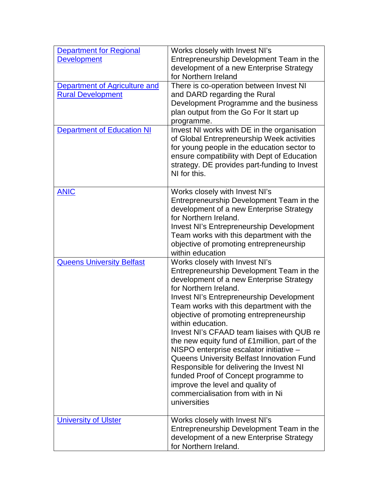| <b>Department for Regional</b><br><b>Development</b><br>Department of Agriculture and<br><b>Rural Development</b><br><b>Department of Education NI</b> | Works closely with Invest NI's<br>Entrepreneurship Development Team in the<br>development of a new Enterprise Strategy<br>for Northern Ireland<br>There is co-operation between Invest NI<br>and DARD regarding the Rural<br>Development Programme and the business<br>plan output from the Go For It start up<br>programme.<br>Invest NI works with DE in the organisation<br>of Global Entrepreneurship Week activities                                                                                                                                                                                                                                                           |
|--------------------------------------------------------------------------------------------------------------------------------------------------------|-------------------------------------------------------------------------------------------------------------------------------------------------------------------------------------------------------------------------------------------------------------------------------------------------------------------------------------------------------------------------------------------------------------------------------------------------------------------------------------------------------------------------------------------------------------------------------------------------------------------------------------------------------------------------------------|
|                                                                                                                                                        | for young people in the education sector to<br>ensure compatibility with Dept of Education<br>strategy. DE provides part-funding to Invest<br>NI for this.                                                                                                                                                                                                                                                                                                                                                                                                                                                                                                                          |
| <b>ANIC</b>                                                                                                                                            | Works closely with Invest NI's<br>Entrepreneurship Development Team in the<br>development of a new Enterprise Strategy<br>for Northern Ireland.<br><b>Invest NI's Entrepreneurship Development</b><br>Team works with this department with the<br>objective of promoting entrepreneurship<br>within education                                                                                                                                                                                                                                                                                                                                                                       |
| <b>Queens University Belfast</b>                                                                                                                       | Works closely with Invest NI's<br>Entrepreneurship Development Team in the<br>development of a new Enterprise Strategy<br>for Northern Ireland.<br><b>Invest NI's Entrepreneurship Development</b><br>Team works with this department with the<br>objective of promoting entrepreneurship<br>within education.<br>Invest NI's CFAAD team liaises with QUB re<br>the new equity fund of £1 million, part of the<br>NISPO enterprise escalator initiative -<br>Queens University Belfast Innovation Fund<br>Responsible for delivering the Invest NI<br>funded Proof of Concept programme to<br>improve the level and quality of<br>commercialisation from with in Ni<br>universities |
| <b>University of Ulster</b>                                                                                                                            | Works closely with Invest NI's<br>Entrepreneurship Development Team in the<br>development of a new Enterprise Strategy<br>for Northern Ireland.                                                                                                                                                                                                                                                                                                                                                                                                                                                                                                                                     |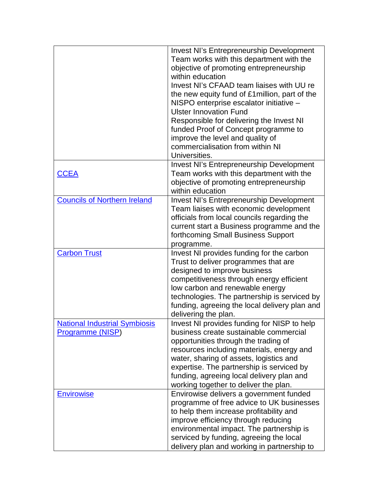|                                      | <b>Invest NI's Entrepreneurship Development</b>                                        |
|--------------------------------------|----------------------------------------------------------------------------------------|
|                                      | Team works with this department with the                                               |
|                                      | objective of promoting entrepreneurship                                                |
|                                      | within education                                                                       |
|                                      | Invest NI's CFAAD team liaises with UU re                                              |
|                                      | the new equity fund of £1 million, part of the                                         |
|                                      | NISPO enterprise escalator initiative -                                                |
|                                      | <b>Ulster Innovation Fund</b>                                                          |
|                                      | Responsible for delivering the Invest NI                                               |
|                                      | funded Proof of Concept programme to                                                   |
|                                      | improve the level and quality of                                                       |
|                                      | commercialisation from within NI                                                       |
|                                      | Universities.                                                                          |
|                                      | <b>Invest NI's Entrepreneurship Development</b>                                        |
| <b>CCEA</b>                          | Team works with this department with the                                               |
|                                      | objective of promoting entrepreneurship                                                |
|                                      | within education                                                                       |
| <b>Councils of Northern Ireland</b>  | <b>Invest NI's Entrepreneurship Development</b>                                        |
|                                      | Team liaises with economic development                                                 |
|                                      | officials from local councils regarding the                                            |
|                                      | current start a Business programme and the                                             |
|                                      | forthcoming Small Business Support                                                     |
|                                      |                                                                                        |
|                                      | programme.                                                                             |
|                                      |                                                                                        |
| <b>Carbon Trust</b>                  | Invest NI provides funding for the carbon                                              |
|                                      | Trust to deliver programmes that are                                                   |
|                                      | designed to improve business                                                           |
|                                      | competitiveness through energy efficient                                               |
|                                      | low carbon and renewable energy                                                        |
|                                      | technologies. The partnership is serviced by                                           |
|                                      | funding, agreeing the local delivery plan and                                          |
|                                      | delivering the plan.                                                                   |
| <b>National Industrial Symbiosis</b> | Invest NI provides funding for NISP to help                                            |
| <b>Programme (NISP)</b>              | business create sustainable commercial                                                 |
|                                      | opportunities through the trading of                                                   |
|                                      | resources including materials, energy and                                              |
|                                      | water, sharing of assets, logistics and                                                |
|                                      | expertise. The partnership is serviced by                                              |
|                                      | funding, agreeing local delivery plan and                                              |
|                                      | working together to deliver the plan.                                                  |
| <b>Envirowise</b>                    | Envirowise delivers a government funded                                                |
|                                      | programme of free advice to UK businesses                                              |
|                                      | to help them increase profitability and                                                |
|                                      | improve efficiency through reducing                                                    |
|                                      | environmental impact. The partnership is                                               |
|                                      | serviced by funding, agreeing the local<br>delivery plan and working in partnership to |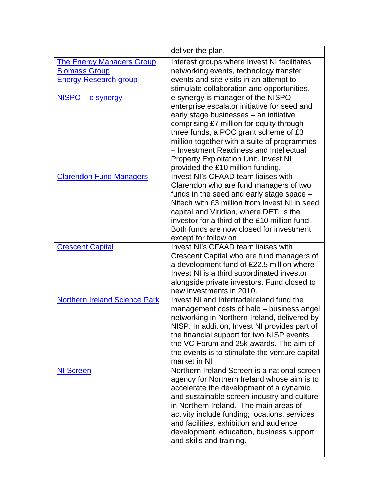| deliver the plan.                                                                                                                                                                                                                                                                                                                                                                                   |
|-----------------------------------------------------------------------------------------------------------------------------------------------------------------------------------------------------------------------------------------------------------------------------------------------------------------------------------------------------------------------------------------------------|
| Interest groups where Invest NI facilitates<br>networking events, technology transfer<br>events and site visits in an attempt to<br>stimulate collaboration and opportunities.                                                                                                                                                                                                                      |
| e synergy is manager of the NISPO<br>enterprise escalator initiative for seed and<br>early stage businesses - an initiative<br>comprising £7 million for equity through<br>three funds, a POC grant scheme of £3<br>million together with a suite of programmes<br>- Investment Readiness and Intellectual<br><b>Property Exploitation Unit. Invest NI</b><br>provided the £10 million funding.     |
| Invest NI's CFAAD team liaises with<br>Clarendon who are fund managers of two<br>funds in the seed and early stage space -<br>Nitech with £3 million from Invest NI in seed<br>capital and Viridian, where DETI is the<br>investor for a third of the £10 million fund.<br>Both funds are now closed for investment<br>except for follow on                                                         |
| Invest NI's CFAAD team liaises with<br>Crescent Capital who are fund managers of<br>a development fund of £22.5 million where<br>Invest NI is a third subordinated investor<br>alongside private investors. Fund closed to<br>new investments in 2010.                                                                                                                                              |
| Invest NI and IntertradeIreland fund the<br>management costs of halo - business angel<br>networking in Northern Ireland, delivered by<br>NISP. In addition, Invest NI provides part of<br>the financial support for two NISP events,<br>the VC Forum and 25k awards. The aim of<br>the events is to stimulate the venture capital<br>market in NI                                                   |
| Northern Ireland Screen is a national screen<br>agency for Northern Ireland whose aim is to<br>accelerate the development of a dynamic<br>and sustainable screen industry and culture<br>in Northern Ireland. The main areas of<br>activity include funding; locations, services<br>and facilities, exhibition and audience<br>development, education, business support<br>and skills and training. |
|                                                                                                                                                                                                                                                                                                                                                                                                     |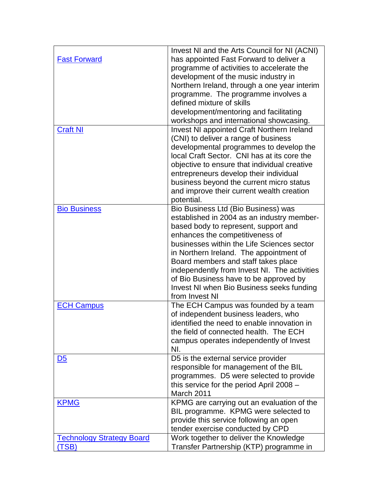|                                  | Invest NI and the Arts Council for NI (ACNI)                                           |
|----------------------------------|----------------------------------------------------------------------------------------|
| <b>Fast Forward</b>              | has appointed Fast Forward to deliver a                                                |
|                                  | programme of activities to accelerate the                                              |
|                                  | development of the music industry in                                                   |
|                                  | Northern Ireland, through a one year interim                                           |
|                                  | programme. The programme involves a                                                    |
|                                  | defined mixture of skills                                                              |
|                                  | development/mentoring and facilitating                                                 |
|                                  | workshops and international showcasing.                                                |
| <b>Craft NI</b>                  | Invest NI appointed Craft Northern Ireland                                             |
|                                  | (CNI) to deliver a range of business                                                   |
|                                  |                                                                                        |
|                                  | developmental programmes to develop the<br>local Craft Sector. CNI has at its core the |
|                                  |                                                                                        |
|                                  | objective to ensure that individual creative                                           |
|                                  | entrepreneurs develop their individual                                                 |
|                                  | business beyond the current micro status                                               |
|                                  | and improve their current wealth creation                                              |
|                                  | potential.                                                                             |
| <b>Bio Business</b>              | Bio Business Ltd (Bio Business) was                                                    |
|                                  | established in 2004 as an industry member-                                             |
|                                  | based body to represent, support and                                                   |
|                                  | enhances the competitiveness of                                                        |
|                                  | businesses within the Life Sciences sector                                             |
|                                  | in Northern Ireland. The appointment of                                                |
|                                  | Board members and staff takes place                                                    |
|                                  | independently from Invest NI. The activities                                           |
|                                  | of Bio Business have to be approved by                                                 |
|                                  | Invest NI when Bio Business seeks funding                                              |
|                                  | from Invest NI                                                                         |
| <b>ECH Campus</b>                | The ECH Campus was founded by a team                                                   |
|                                  | of independent business leaders, who                                                   |
|                                  | identified the need to enable innovation in                                            |
|                                  | the field of connected health. The ECH                                                 |
|                                  | campus operates independently of Invest                                                |
|                                  | NI.                                                                                    |
| <u>D5</u>                        | D5 is the external service provider                                                    |
|                                  | responsible for management of the BIL                                                  |
|                                  | programmes. D5 were selected to provide                                                |
|                                  | this service for the period April 2008 -                                               |
|                                  | March 2011                                                                             |
| <b>KPMG</b>                      | KPMG are carrying out an evaluation of the                                             |
|                                  |                                                                                        |
|                                  | BIL programme. KPMG were selected to                                                   |
|                                  | provide this service following an open                                                 |
|                                  | tender exercise conducted by CPD                                                       |
| <b>Technology Strategy Board</b> | Work together to deliver the Knowledge                                                 |
| TSB)                             | Transfer Partnership (KTP) programme in                                                |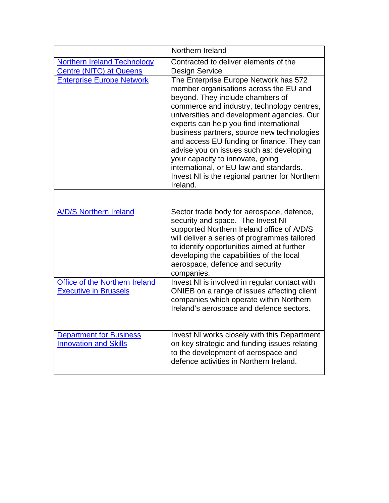|                                                                       | Northern Ireland                                                                                                                                                                                                                                                                                                                                                                                                                                                                                                                                |
|-----------------------------------------------------------------------|-------------------------------------------------------------------------------------------------------------------------------------------------------------------------------------------------------------------------------------------------------------------------------------------------------------------------------------------------------------------------------------------------------------------------------------------------------------------------------------------------------------------------------------------------|
| <b>Northern Ireland Technology</b><br><b>Centre (NITC) at Queens</b>  | Contracted to deliver elements of the<br><b>Design Service</b>                                                                                                                                                                                                                                                                                                                                                                                                                                                                                  |
| <b>Enterprise Europe Network</b>                                      | The Enterprise Europe Network has 572<br>member organisations across the EU and<br>beyond. They include chambers of<br>commerce and industry, technology centres,<br>universities and development agencies. Our<br>experts can help you find international<br>business partners, source new technologies<br>and access EU funding or finance. They can<br>advise you on issues such as: developing<br>your capacity to innovate, going<br>international, or EU law and standards.<br>Invest NI is the regional partner for Northern<br>Ireland. |
| <b>A/D/S Northern Ireland</b>                                         | Sector trade body for aerospace, defence,<br>security and space. The Invest NI<br>supported Northern Ireland office of A/D/S<br>will deliver a series of programmes tailored<br>to identify opportunities aimed at further<br>developing the capabilities of the local<br>aerospace, defence and security<br>companies.                                                                                                                                                                                                                         |
| <b>Office of the Northern Ireland</b><br><b>Executive in Brussels</b> | Invest NI is involved in regular contact with<br>ONIEB on a range of issues affecting client<br>companies which operate within Northern<br>Ireland's aerospace and defence sectors.                                                                                                                                                                                                                                                                                                                                                             |
| <b>Department for Business</b><br><b>Innovation and Skills</b>        | Invest NI works closely with this Department<br>on key strategic and funding issues relating<br>to the development of aerospace and<br>defence activities in Northern Ireland.                                                                                                                                                                                                                                                                                                                                                                  |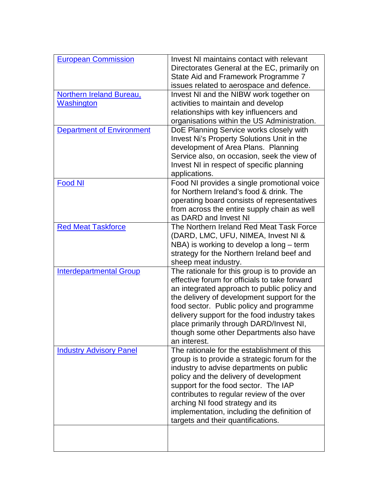| <b>European Commission</b>       | Invest NI maintains contact with relevant<br>Directorates General at the EC, primarily on |
|----------------------------------|-------------------------------------------------------------------------------------------|
|                                  | State Aid and Framework Programme 7                                                       |
|                                  | issues related to aerospace and defence.                                                  |
| <b>Northern Ireland Bureau,</b>  | Invest NI and the NIBW work together on                                                   |
| Washington                       | activities to maintain and develop                                                        |
|                                  | relationships with key influencers and                                                    |
|                                  | organisations within the US Administration.                                               |
| <b>Department of Environment</b> | DoE Planning Service works closely with                                                   |
|                                  | Invest Ni's Property Solutions Unit in the                                                |
|                                  | development of Area Plans. Planning                                                       |
|                                  | Service also, on occasion, seek the view of                                               |
|                                  | Invest NI in respect of specific planning                                                 |
|                                  | applications.                                                                             |
| <b>Food NI</b>                   | Food NI provides a single promotional voice                                               |
|                                  | for Northern Ireland's food & drink. The                                                  |
|                                  | operating board consists of representatives                                               |
|                                  | from across the entire supply chain as well                                               |
|                                  | as DARD and Invest NI                                                                     |
| <b>Red Meat Taskforce</b>        | The Northern Ireland Red Meat Task Force                                                  |
|                                  | (DARD, LMC, UFU, NIMEA, Invest NI &                                                       |
|                                  | NBA) is working to develop a long - term                                                  |
|                                  | strategy for the Northern Ireland beef and                                                |
|                                  | sheep meat industry.                                                                      |
| <b>Interdepartmental Group</b>   | The rationale for this group is to provide an                                             |
|                                  | effective forum for officials to take forward                                             |
|                                  | an integrated approach to public policy and                                               |
|                                  | the delivery of development support for the                                               |
|                                  | food sector. Public policy and programme                                                  |
|                                  | delivery support for the food industry takes                                              |
|                                  | place primarily through DARD/Invest NI,                                                   |
|                                  | though some other Departments also have<br>an interest.                                   |
| <b>Industry Advisory Panel</b>   | The rationale for the establishment of this                                               |
|                                  | group is to provide a strategic forum for the                                             |
|                                  | industry to advise departments on public                                                  |
|                                  | policy and the delivery of development                                                    |
|                                  | support for the food sector. The IAP                                                      |
|                                  | contributes to regular review of the over                                                 |
|                                  | arching NI food strategy and its                                                          |
|                                  | implementation, including the definition of                                               |
|                                  | targets and their quantifications.                                                        |
|                                  |                                                                                           |
|                                  |                                                                                           |
|                                  |                                                                                           |